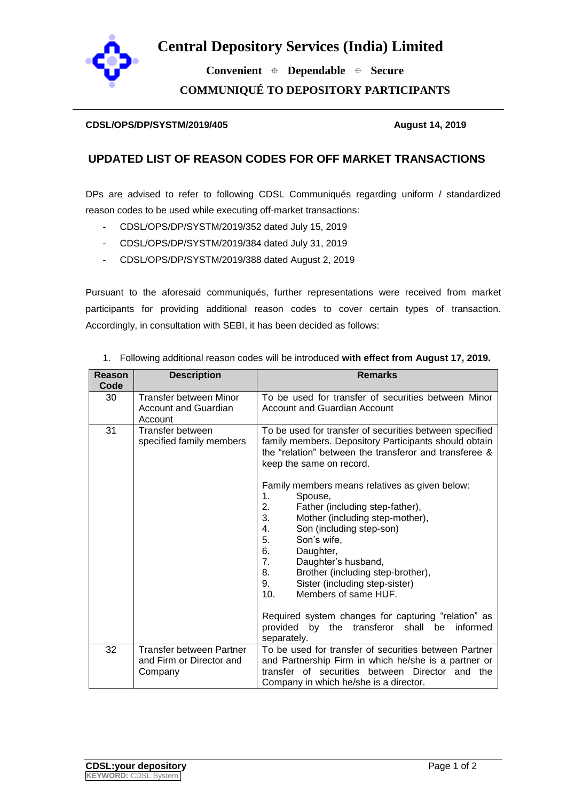

## **Central Depository Services (India) Limited**

 **Convenient Dependable Secure COMMUNIQUÉ TO DEPOSITORY PARTICIPANTS**

## **CDSL/OPS/DP/SYSTM/2019/405 August 14, 2019**

## **UPDATED LIST OF REASON CODES FOR OFF MARKET TRANSACTIONS**

DPs are advised to refer to following CDSL Communiqués regarding uniform / standardized reason codes to be used while executing off-market transactions:

- CDSL/OPS/DP/SYSTM/2019/352 dated July 15, 2019
- CDSL/OPS/DP/SYSTM/2019/384 dated July 31, 2019
- CDSL/OPS/DP/SYSTM/2019/388 dated August 2, 2019

Pursuant to the aforesaid communiqués, further representations were received from market participants for providing additional reason codes to cover certain types of transaction. Accordingly, in consultation with SEBI, it has been decided as follows:

| <b>Reason</b> | <b>Description</b>                                                      | <b>Remarks</b>                                                                                                                                                                                                                                                                                                                                                                                                                                                                                |
|---------------|-------------------------------------------------------------------------|-----------------------------------------------------------------------------------------------------------------------------------------------------------------------------------------------------------------------------------------------------------------------------------------------------------------------------------------------------------------------------------------------------------------------------------------------------------------------------------------------|
| Code          |                                                                         |                                                                                                                                                                                                                                                                                                                                                                                                                                                                                               |
| 30            | <b>Transfer between Minor</b><br><b>Account and Guardian</b><br>Account | To be used for transfer of securities between Minor<br>Account and Guardian Account                                                                                                                                                                                                                                                                                                                                                                                                           |
| 31            | Transfer between<br>specified family members                            | To be used for transfer of securities between specified<br>family members. Depository Participants should obtain<br>the "relation" between the transferor and transferee &<br>keep the same on record.                                                                                                                                                                                                                                                                                        |
|               |                                                                         | Family members means relatives as given below:<br>1.<br>Spouse,<br>2.<br>Father (including step-father),<br>3.<br>Mother (including step-mother),<br>Son (including step-son)<br>4.<br>5.<br>Son's wife,<br>6.<br>Daughter,<br>7.<br>Daughter's husband,<br>Brother (including step-brother),<br>8.<br>9.<br>Sister (including step-sister)<br>10.<br>Members of same HUF.<br>Required system changes for capturing "relation" as<br>by the transferor<br>shall<br>informed<br>provided<br>be |
|               |                                                                         | separately.                                                                                                                                                                                                                                                                                                                                                                                                                                                                                   |
| 32            | Transfer between Partner<br>and Firm or Director and<br>Company         | To be used for transfer of securities between Partner<br>and Partnership Firm in which he/she is a partner or<br>transfer of securities between Director and the                                                                                                                                                                                                                                                                                                                              |
|               |                                                                         | Company in which he/she is a director.                                                                                                                                                                                                                                                                                                                                                                                                                                                        |

1. Following additional reason codes will be introduced **with effect from August 17, 2019.**